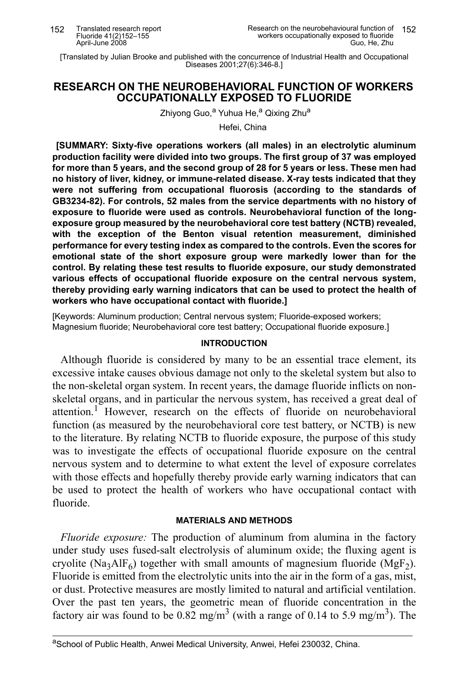[Translated by Julian Brooke and published with the concurrence of Industrial Health and Occupational<br>[1] Diseases 2001;27(6):346-8.]

## RESEARCH ON THE NEUROBEHAVIORAL FUNCTION OF WORKERS **OCCUPATIONALLY EXPOSED TO FLUORIDE**

Zhiyong Guo,<sup>a</sup> Yuhua He,<sup>a</sup> Qixing Zhu<sup>a</sup>

Hefei. China

[SUMMARY: Sixty-five operations workers (all males) in an electrolytic aluminum production facility were divided into two groups. The first group of 37 was employed for more than 5 years, and the second group of 28 for 5 years or less. These men had no history of liver, kidney, or immune-related disease. X-ray tests indicated that they were not suffering from occupational fluorosis (according to the standards of GB3234-82). For controls, 52 males from the service departments with no history of exposure to fluoride were used as controls. Neurobehavioral function of the longexposure group measured by the neurobehavioral core test battery (NCTB) revealed, with the exception of the Benton visual retention measurement, diminished performance for every testing index as compared to the controls. Even the scores for emotional state of the short exposure group were markedly lower than for the control. By relating these test results to fluoride exposure, our study demonstrated various effects of occupational fluoride exposure on the central nervous system, thereby providing early warning indicators that can be used to protect the health of workers who have occupational contact with fluoride.]

[Keywords: Aluminum production; Central nervous system; Fluoride-exposed workers; Magnesium fluoride; Neurobehavioral core test battery; Occupational fluoride exposure.]

#### **INTRODUCTION**

Although fluoride is considered by many to be an essential trace element, its excessive intake causes obvious damage not only to the skeletal system but also to the non-skeletal organ system. In recent years, the damage fluoride inflicts on nonskeletal organs, and in particular the nervous system, has received a great deal of attention.<sup>1</sup> However, research on the effects of fluoride on neurobehavioral function (as measured by the neurobehavioral core test battery, or NCTB) is new to the literature. By relating NCTB to fluoride exposure, the purpose of this study was to investigate the effects of occupational fluoride exposure on the central nervous system and to determine to what extent the level of exposure correlates with those effects and hopefully thereby provide early warning indicators that can be used to protect the health of workers who have occupational contact with fluoride

## **MATERIALS AND METHODS**

*Fluoride exposure:* The production of aluminum from alumina in the factory under study uses fused-salt electrolysis of aluminum oxide; the fluxing agent is cryolite (Na<sub>3</sub>AlF<sub>6</sub>) together with small amounts of magnesium fluoride (MgF<sub>2</sub>). Fluoride is emitted from the electrolytic units into the air in the form of a gas, mist, or dust. Protective measures are mostly limited to natural and artificial ventilation. Over the past ten years, the geometric mean of fluoride concentration in the factory air was found to be  $0.82 \text{ mg/m}^3$  (with a range of 0.14 to 5.9 mg/m<sup>3</sup>). The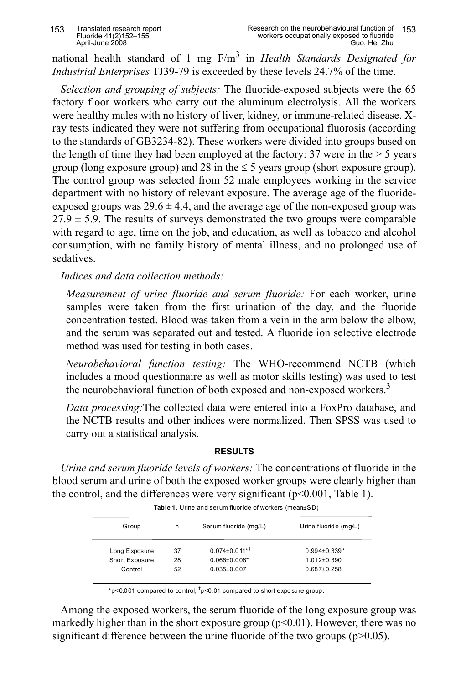national health standard of 1 mg  $F/m<sup>3</sup>$  in *Health Standards Designated for Industrial Enterprises* TJ39-79 is exceeded by these levels 24.7% of the time.

*Selection and grouping of subjects:* The fluoride-exposed subjects were the 65 factory floor workers who carry out the aluminum electrolysis. All the workers were healthy males with no history of liver, kidney, or immune-related disease. Xray tests indicated they were not suffering from occupational fluorosis (according to the standards of YB3234-82). These workers were divided into groups based on the length of time they had been employed at the factory:  $37$  were in the  $> 5$  years group (long exposure group) and 28 in the  $\leq$  5 years group (short exposure group). The control group was selected from 52 male employees working in the service department with no history of relevant exposure. The average age of the fluorideexposed groups was  $29.6 \pm 4.4$ , and the average age of the non-exposed group was  $27.9 \pm 5.9$ . The results of surveys demonstrated the two groups were comparable with regard to age, time on the job, and education, as well as tobacco and alcohol consumption, with no family history of mental illness, and no prolonged use of sedatives.

*7ndices and data collection methods:*

*Measurement of urine fluoride and serum fluoride:* For each worker, urine samples were taken from the first urination of the day, and the fluoride concentration tested. Blood was taken from a vein in the arm below the elbow, and the serum was separated out and tested. A fluoride ion selective electrode method was used for testing in both cases.

*Neurobehavioral function testing:* The WHO-recommend NCTB (which includes a mood questionnaire as well as motor skills testing) was used to test the neurobehavioral function of both exposed and non-exposed workers.<sup>3</sup>

*Data processing*: The collected data were entered into a FoxPro database, and the NCTB results and other indices were normalized. Then SPSS was used to carry out a statistical analysis.

## **RESULTS**

*Urine and serum fluoride levels of workers:* The concentrations of fluoride in the blood serum and urine of both the exposed worker groups were clearly higher than the control, and the differences were very significant  $(p<0.001$ , Table 1).

| Group          | n  | Serum fluoride (mg/L)  | Urine fluoride (mg/L) |
|----------------|----|------------------------|-----------------------|
| Long Exposure  | 37 | $0.074 \pm 0.011^{*T}$ | $0.994 \pm 0.339$ *   |
| Short Exposure | 28 | $0.066 \pm 0.008$ *    | $1.012 + 0.390$       |
| Control        | 52 | $0.035\pm0.007$        | $0.687 + 0.258$       |

**Table 1.** Urine and serum fluoride of workers (mean±SD)

\*p<0.001 compared to control,  $\frac{1}{T}$ p<0.01 compared to short exposure group.

Among the exposed workers, the serum fluoride of the long exposure group was markedly higher than in the short exposure group  $(p<0.01)$ . However, there was no significant difference between the urine fluoride of the two groups  $(p>0.05)$ .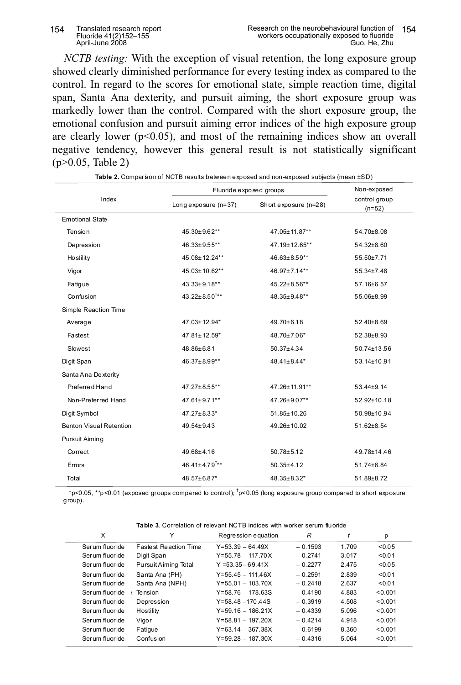#### Translated research report<br>Fluoride 41(2)152-155 154 April-June 2008

*NCTB testing*: With the exception of visual retention, the long exposure group showed clearly diminished performance for every testing index as compared to the control. In regard to the scores for emotional state, simple reaction time, digital span, Santa Ana dexterity, and pursuit aiming, the short exposure group was markedly lower than the control. Compared with the short exposure group, the emotional confusion and pursuit aiming error indices of the high exposure group are clearly lower ( $p<0.05$ ), and most of the remaining indices show an overall negative tendency, however this general result is not statistically significant  $(p>0.05, Table 2)$ 

|                                | Fluoride exposed groups         | Non-exposed           |                           |
|--------------------------------|---------------------------------|-----------------------|---------------------------|
| Index                          | Long exposure $(n=37)$          | Short exposure (n=28) | control group<br>$(n=52)$ |
| <b>Emotional State</b>         |                                 |                       |                           |
| Tension                        | 45.30±9.62**                    | 47.05±11.87**         | 54.70±8.08                |
| <b>Depression</b>              | 46.33±9.55**                    | 47.19±12.65**         | 54.32±8.60                |
| <b>Ho stility</b>              | 45.08±12.24**                   | 46.63±8.59**          | 55.50±7.71                |
| Vigor                          | 45.03±10.62**                   | 46.97±7.14**          | 55.34±7.48                |
| Fatigue                        | 43.33±9.18**                    | 45.22±8.56**          | 57.16±6.57                |
| Confusion                      | 43.22±8.50 <sup>†**</sup>       | 48.35±9.48**          | 55.06±8.99                |
| Simple Reaction Time           |                                 |                       |                           |
| Average                        | 47.03±12.94*                    | $49.70 \pm 6.18$      | 52.40±8.69                |
| Fastest                        | 47.81±12.59*                    | 48.70±7.06*           | 52.38±8.93                |
| Slowest                        | 48.86±6.81                      | $50.37 \pm 4.34$      | 50.74±13.56               |
| Digit Span                     | 46.37±8.99**                    | 48.41±8.44*           | 53.14±10.91               |
| Santa Ana Dexterity            |                                 |                       |                           |
| Preferred Hand                 | 47.27±8.55**                    | 47.26±11.91**         | 53.44±9.14                |
| Non-Preferred Hand             | 47.61±9.71**                    | 47.26±9.07**          | 52.92±10.18               |
| Digit Symbol                   | 47.27±8.33*                     | 51.85±10.26           | 50.98±10.94               |
| <b>Benton Visual Retention</b> | $49.54 \pm 9.43$                | 49.26±10.02           | 51.62±8.54                |
| Pursuit Aiming                 |                                 |                       |                           |
| Correct                        | 49.68±4.16                      | $50.78 \pm 5.12$      | 49.78±14.46               |
| Errors                         | $46.41 \pm 4.79$ <sup>†**</sup> | $50.35 \pm 4.12$      | 51.74±6.84                |
| Total                          | 48.57±6.87*                     | 48.35±8.32*           | 51.89±8.72                |

Table 2. Comparison of NCTB results between exposed and non-exposed subjects (mean ±SD)

\*p<0.05, \*\*p<0.01 (exposed groups compared to control);  $\frac{1}{2}$ p<0.05 (long exposure group compared to short exposure  $group).$ 

| <b>Table 3.</b> Correlation of relevant NCTB indices with worker serum fluoride |  |  |  |  |
|---------------------------------------------------------------------------------|--|--|--|--|
|                                                                                 |  |  |  |  |

| X              | ν                            | Regression equation   | R         |       | р       |
|----------------|------------------------------|-----------------------|-----------|-------|---------|
| Serum fluoride | <b>Fastest Reaction Time</b> | $Y=53.39 - 64.49X$    | $-0.1593$ | 1.709 | < 0.05  |
| Serum fluoride | Digit Span                   | $Y = 55.78 - 117.70X$ | $-0.2741$ | 3.017 | < 0.01  |
| Serum fluoride | Pursuit Aiming Total         | $Y = 53.35 - 69.41X$  | $-0.2277$ | 2.475 | < 0.05  |
| Serum fluoride | Santa Ana (PH)               | $Y = 55.45 - 111.46X$ | $-0.2591$ | 2.839 | < 0.01  |
| Serum fluoride | Santa Ana (NPH)              | $Y = 55.01 - 103.70X$ | $-0.2418$ | 2.637 | < 0.01  |
| Serum fluoride | Tension                      | $Y = 58.76 - 178.63S$ | $-0.4190$ | 4.883 | < 0.001 |
| Serum fluoride | Depression                   | $Y = 58.48 - 170.44S$ | $-0.3919$ | 4.508 | < 0.001 |
| Serum fluoride | Hostility                    | $Y = 59.16 - 186.21X$ | $-0.4339$ | 5.096 | < 0.001 |
| Serum fluoride | Vigor                        | $Y = 58.81 - 197.20X$ | $-0.4214$ | 4.918 | < 0.001 |
| Serum fluoride | Fatique                      | $Y=63.14 - 367.38X$   | $-0.6199$ | 8.360 | < 0.001 |
| Serum fluoride | Confusion                    | $Y = 59.28 - 187.30X$ | $-0.4316$ | 5.064 | < 0.001 |
|                |                              |                       |           |       |         |